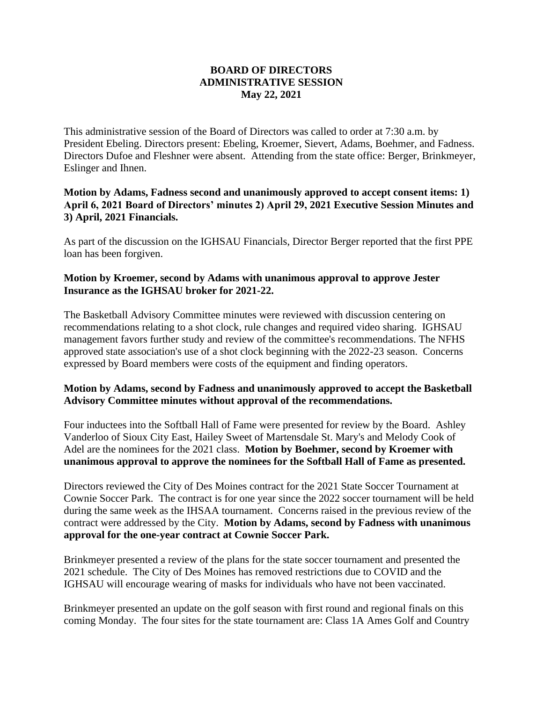## **BOARD OF DIRECTORS ADMINISTRATIVE SESSION May 22, 2021**

This administrative session of the Board of Directors was called to order at 7:30 a.m. by President Ebeling. Directors present: Ebeling, Kroemer, Sievert, Adams, Boehmer, and Fadness. Directors Dufoe and Fleshner were absent. Attending from the state office: Berger, Brinkmeyer, Eslinger and Ihnen.

## **Motion by Adams, Fadness second and unanimously approved to accept consent items: 1) April 6, 2021 Board of Directors' minutes 2) April 29, 2021 Executive Session Minutes and 3) April, 2021 Financials.**

As part of the discussion on the IGHSAU Financials, Director Berger reported that the first PPE loan has been forgiven.

## **Motion by Kroemer, second by Adams with unanimous approval to approve Jester Insurance as the IGHSAU broker for 2021-22.**

The Basketball Advisory Committee minutes were reviewed with discussion centering on recommendations relating to a shot clock, rule changes and required video sharing. IGHSAU management favors further study and review of the committee's recommendations. The NFHS approved state association's use of a shot clock beginning with the 2022-23 season. Concerns expressed by Board members were costs of the equipment and finding operators.

## **Motion by Adams, second by Fadness and unanimously approved to accept the Basketball Advisory Committee minutes without approval of the recommendations.**

Four inductees into the Softball Hall of Fame were presented for review by the Board. Ashley Vanderloo of Sioux City East, Hailey Sweet of Martensdale St. Mary's and Melody Cook of Adel are the nominees for the 2021 class. **Motion by Boehmer, second by Kroemer with unanimous approval to approve the nominees for the Softball Hall of Fame as presented.**

Directors reviewed the City of Des Moines contract for the 2021 State Soccer Tournament at Cownie Soccer Park. The contract is for one year since the 2022 soccer tournament will be held during the same week as the IHSAA tournament. Concerns raised in the previous review of the contract were addressed by the City. **Motion by Adams, second by Fadness with unanimous approval for the one-year contract at Cownie Soccer Park.**

Brinkmeyer presented a review of the plans for the state soccer tournament and presented the 2021 schedule. The City of Des Moines has removed restrictions due to COVID and the IGHSAU will encourage wearing of masks for individuals who have not been vaccinated.

Brinkmeyer presented an update on the golf season with first round and regional finals on this coming Monday. The four sites for the state tournament are: Class 1A Ames Golf and Country